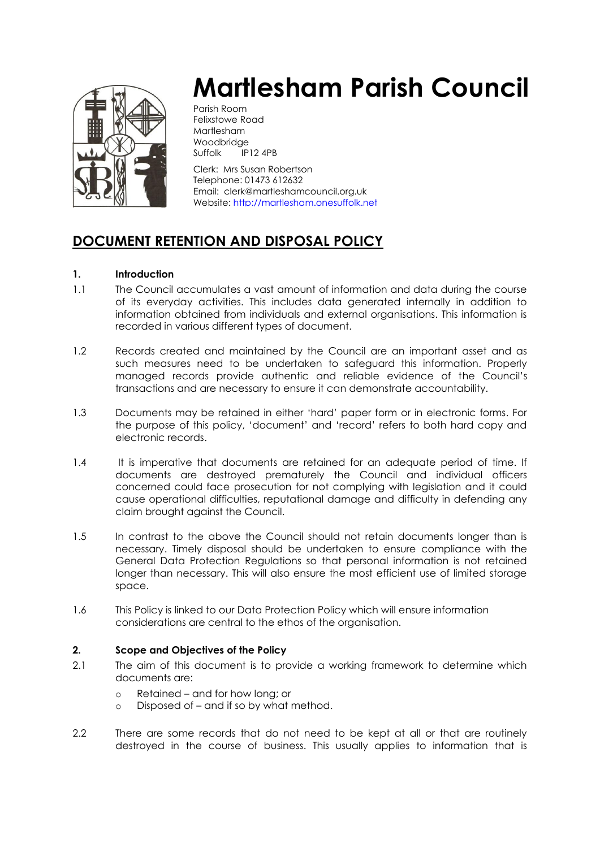

# **Martlesham Parish Council**

Parish Room Felixstowe Road Martlesham Woodbridge Suffolk IP12 4PB

Clerk: Mrs Susan Robertson Telephone: 01473 612632 Email: clerk@martleshamcouncil.org.uk Website[: http://martlesham.onesuffolk.net](http://martlesham.onesuffolk.net/)

# **DOCUMENT RETENTION AND DISPOSAL POLICY**

# **1. Introduction**

- 1.1 The Council accumulates a vast amount of information and data during the course of its everyday activities. This includes data generated internally in addition to information obtained from individuals and external organisations. This information is recorded in various different types of document.
- 1.2 Records created and maintained by the Council are an important asset and as such measures need to be undertaken to safeguard this information. Properly managed records provide authentic and reliable evidence of the Council's transactions and are necessary to ensure it can demonstrate accountability.
- 1.3 Documents may be retained in either 'hard' paper form or in electronic forms. For the purpose of this policy, 'document' and 'record' refers to both hard copy and electronic records.
- 1.4 It is imperative that documents are retained for an adequate period of time. If documents are destroyed prematurely the Council and individual officers concerned could face prosecution for not complying with legislation and it could cause operational difficulties, reputational damage and difficulty in defending any claim brought against the Council.
- 1.5 In contrast to the above the Council should not retain documents longer than is necessary. Timely disposal should be undertaken to ensure compliance with the General Data Protection Regulations so that personal information is not retained longer than necessary. This will also ensure the most efficient use of limited storage space.
- 1.6 This Policy is linked to our Data Protection Policy which will ensure information considerations are central to the ethos of the organisation.

# **2. Scope and Objectives of the Policy**

- 2.1 The aim of this document is to provide a working framework to determine which documents are:
	- o Retained and for how long; or
	- o Disposed of and if so by what method.
- 2.2 There are some records that do not need to be kept at all or that are routinely destroyed in the course of business. This usually applies to information that is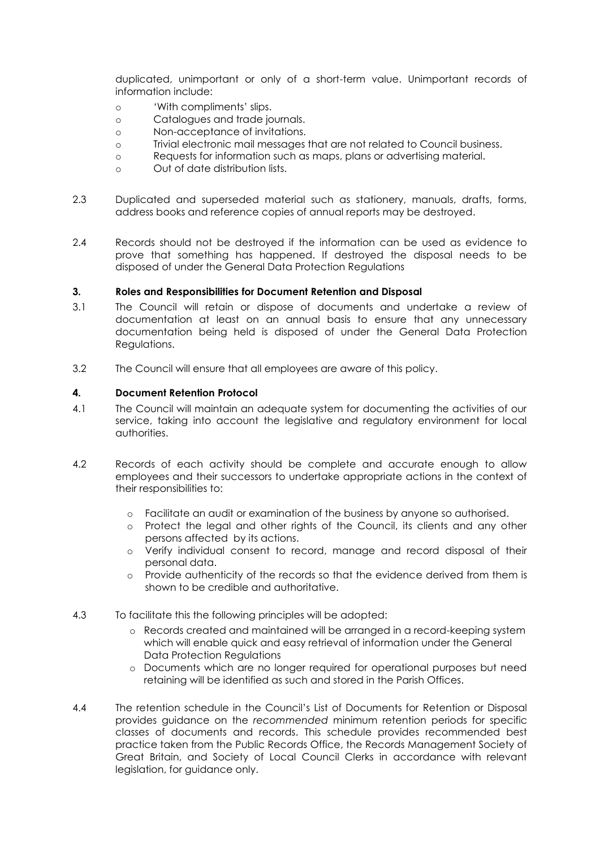duplicated, unimportant or only of a short-term value. Unimportant records of information include:

- o 'With compliments' slips.
- o Catalogues and trade journals.
- o Non-acceptance of invitations.
- o Trivial electronic mail messages that are not related to Council business.
- o Requests for information such as maps, plans or advertising material.
- o Out of date distribution lists.
- 2.3 Duplicated and superseded material such as stationery, manuals, drafts, forms, address books and reference copies of annual reports may be destroyed.
- 2.4 Records should not be destroyed if the information can be used as evidence to prove that something has happened. If destroyed the disposal needs to be disposed of under the General Data Protection Regulations

#### **3. Roles and Responsibilities for Document Retention and Disposal**

- 3.1 The Council will retain or dispose of documents and undertake a review of documentation at least on an annual basis to ensure that any unnecessary documentation being held is disposed of under the General Data Protection Regulations.
- 3.2 The Council will ensure that all employees are aware of this policy.

## **4. Document Retention Protocol**

- 4.1 The Council will maintain an adequate system for documenting the activities of our service, taking into account the legislative and regulatory environment for local authorities.
- 4.2 Records of each activity should be complete and accurate enough to allow employees and their successors to undertake appropriate actions in the context of their responsibilities to:
	- o Facilitate an audit or examination of the business by anyone so authorised.
	- o Protect the legal and other rights of the Council, its clients and any other persons affected by its actions.
	- Verify individual consent to record, manage and record disposal of their personal data.
	- o Provide authenticity of the records so that the evidence derived from them is shown to be credible and authoritative.
- 4.3 To facilitate this the following principles will be adopted:
	- o Records created and maintained will be arranged in a record-keeping system which will enable quick and easy retrieval of information under the General Data Protection Regulations
	- o Documents which are no longer required for operational purposes but need retaining will be identified as such and stored in the Parish Offices.
- 4.4 The retention schedule in the Council's List of Documents for Retention or Disposal provides guidance on the *recommended* minimum retention periods for specific classes of documents and records. This schedule provides recommended best practice taken from the Public Records Office, the Records Management Society of Great Britain, and Society of Local Council Clerks in accordance with relevant legislation, for guidance only.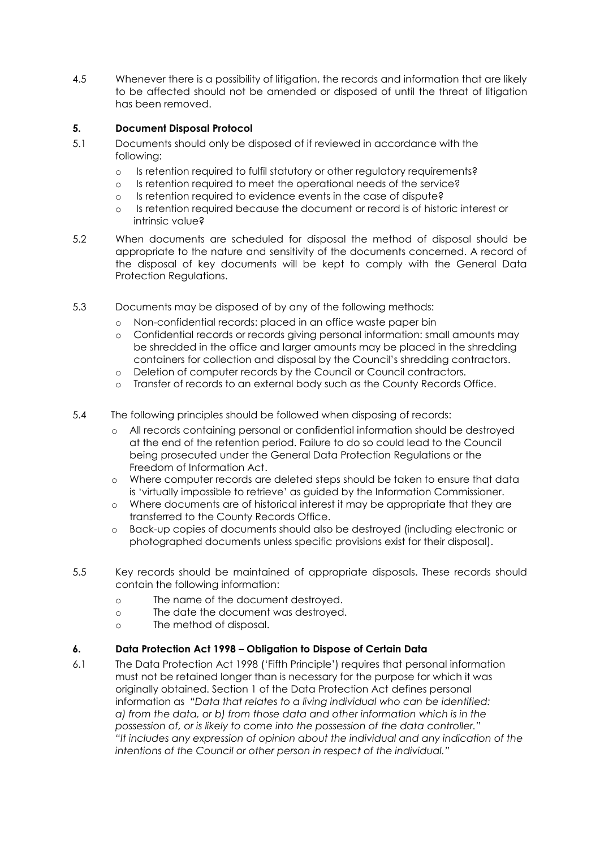4.5 Whenever there is a possibility of litigation, the records and information that are likely to be affected should not be amended or disposed of until the threat of litigation has been removed.

# **5. Document Disposal Protocol**

- 5.1 Documents should only be disposed of if reviewed in accordance with the following:
	- o Is retention required to fulfil statutory or other regulatory requirements?
	- o Is retention required to meet the operational needs of the service?
	- o Is retention required to evidence events in the case of dispute?
	- o Is retention required because the document or record is of historic interest or intrinsic value?
- 5.2 When documents are scheduled for disposal the method of disposal should be appropriate to the nature and sensitivity of the documents concerned. A record of the disposal of key documents will be kept to comply with the General Data Protection Regulations.
- 5.3 Documents may be disposed of by any of the following methods:
	- o Non-confidential records: placed in an office waste paper bin
	- o Confidential records or records giving personal information: small amounts may be shredded in the office and larger amounts may be placed in the shredding containers for collection and disposal by the Council's shredding contractors.
	- o Deletion of computer records by the Council or Council contractors.
	- o Transfer of records to an external body such as the County Records Office.
- 5.4 The following principles should be followed when disposing of records:
	- o All records containing personal or confidential information should be destroyed at the end of the retention period. Failure to do so could lead to the Council being prosecuted under the General Data Protection Regulations or the Freedom of Information Act.
	- o Where computer records are deleted steps should be taken to ensure that data is 'virtually impossible to retrieve' as guided by the Information Commissioner.
	- o Where documents are of historical interest it may be appropriate that they are transferred to the County Records Office.
	- o Back-up copies of documents should also be destroyed (including electronic or photographed documents unless specific provisions exist for their disposal).
- 5.5 Key records should be maintained of appropriate disposals. These records should contain the following information:
	- o The name of the document destroyed.
	- o The date the document was destroyed.
	- o The method of disposal.

#### **6. Data Protection Act 1998 – Obligation to Dispose of Certain Data**

6.1 The Data Protection Act 1998 ('Fifth Principle') requires that personal information must not be retained longer than is necessary for the purpose for which it was originally obtained. Section 1 of the Data Protection Act defines personal information as *"Data that relates to a living individual who can be identified: a) from the data, or b) from those data and other information which is in the possession of, or is likely to come into the possession of the data controller." "It includes any expression of opinion about the individual and any indication of the intentions of the Council or other person in respect of the individual."*